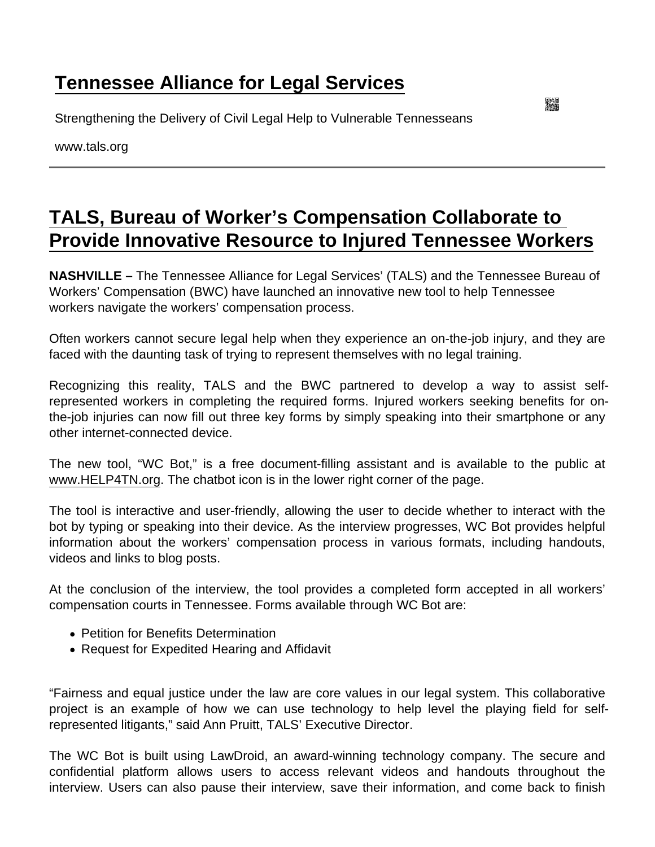## [Tennessee Alliance for Legal Services](https://www.tals.org/)

Strengthening the Delivery of Civil Legal Help to Vulnerable Tennesseans

www.tals.org

## [TALS, Bureau of Worker's Compensation Collaborate to](https://www.tals.org/node/1087/tals-bureau-worker’s-compensation-collaborate-provide-innovative-resource-injured)  [Provide Innovative Resource to Injured Tennessee Workers](https://www.tals.org/node/1087/tals-bureau-worker’s-compensation-collaborate-provide-innovative-resource-injured)

NASHVILLE – The Tennessee Alliance for Legal Services' (TALS) and the Tennessee Bureau of Workers' Compensation (BWC) have launched an innovative new tool to help Tennessee workers navigate the workers' compensation process.

Often workers cannot secure legal help when they experience an on-the-job injury, and they are faced with the daunting task of trying to represent themselves with no legal training.

Recognizing this reality, TALS and the BWC partnered to develop a way to assist selfrepresented workers in completing the required forms. Injured workers seeking benefits for onthe-job injuries can now fill out three key forms by simply speaking into their smartphone or any other internet-connected device.

The new tool, "WC Bot," is a free document-filling assistant and is available to the public at [www.HELP4TN.org](http://www.HELP4TN.org). The chatbot icon is in the lower right corner of the page.

The tool is interactive and user-friendly, allowing the user to decide whether to interact with the bot by typing or speaking into their device. As the interview progresses, WC Bot provides helpful information about the workers' compensation process in various formats, including handouts, videos and links to blog posts.

At the conclusion of the interview, the tool provides a completed form accepted in all workers' compensation courts in Tennessee. Forms available through WC Bot are:

- Petition for Benefits Determination
- Request for Expedited Hearing and Affidavit

"Fairness and equal justice under the law are core values in our legal system. This collaborative project is an example of how we can use technology to help level the playing field for selfrepresented litigants," said Ann Pruitt, TALS' Executive Director.

The WC Bot is built using LawDroid, an award-winning technology company. The secure and confidential platform allows users to access relevant videos and handouts throughout the interview. Users can also pause their interview, save their information, and come back to finish